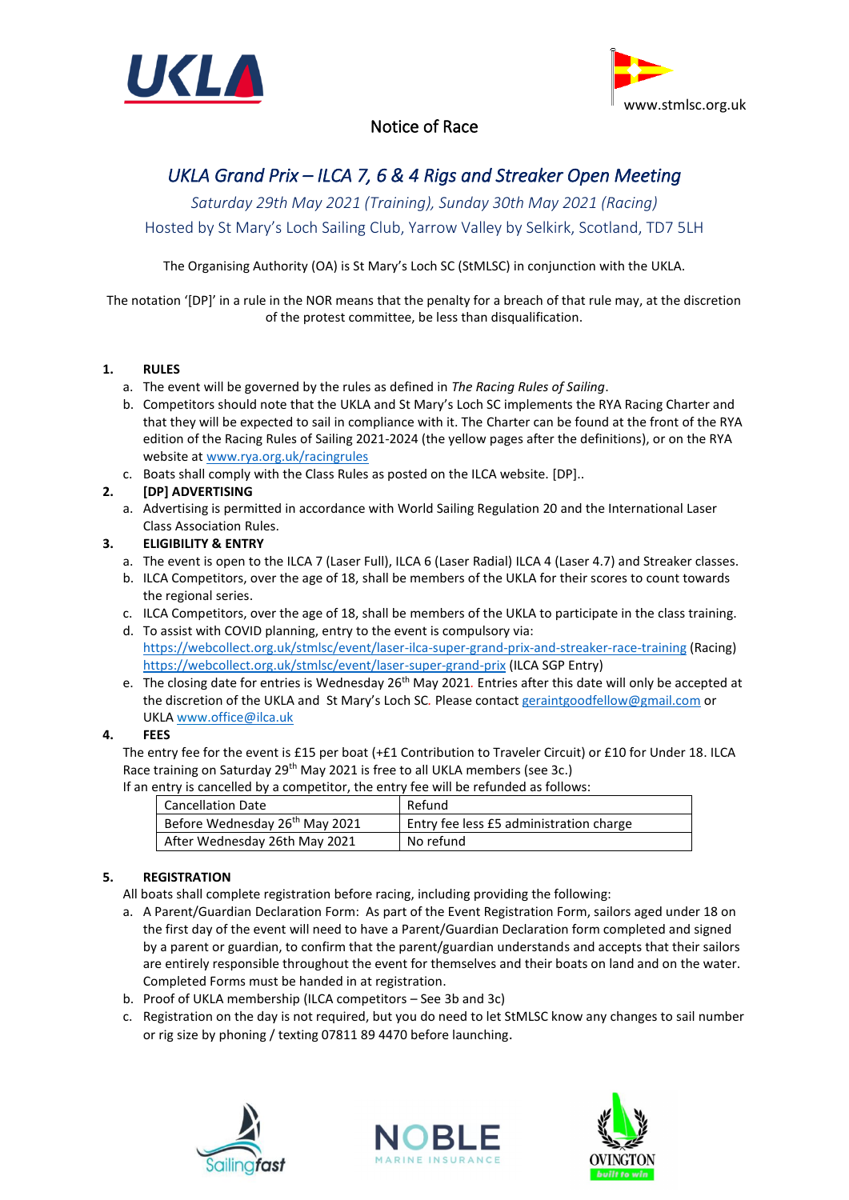



# Notice of Race

# *UKLA Grand Prix – ILCA 7, 6 & 4 Rigs and Streaker Open Meeting*

*Saturday 29th May 2021 (Training), Sunday 30th May 2021 (Racing)* Hosted by St Mary's Loch Sailing Club, Yarrow Valley by Selkirk, Scotland, TD7 5LH

The Organising Authority (OA) is St Mary's Loch SC (StMLSC) in conjunction with the UKLA.

The notation '[DP]' in a rule in the NOR means that the penalty for a breach of that rule may, at the discretion of the protest committee, be less than disqualification.

# **1. RULES**

- a. The event will be governed by the rules as defined in *The Racing Rules of Sailing*.
- b. Competitors should note that the UKLA and St Mary's Loch SC implements the RYA Racing Charter and that they will be expected to sail in compliance with it. The Charter can be found at the front of the RYA edition of the Racing Rules of Sailing 2021-2024 (the yellow pages after the definitions), or on the RYA website at [www.rya.org.uk/racingrules](http://www.rya.org.uk/racingrules)
- c. Boats shall comply with the Class Rules as posted on the ILCA website. [DP]..

# **2. [DP] ADVERTISING**

a. Advertising is permitted in accordance with World Sailing Regulation 20 and the International Laser Class Association Rules.

# **3. ELIGIBILITY & ENTRY**

- a. The event is open to the ILCA 7 (Laser Full), ILCA 6 (Laser Radial) ILCA 4 (Laser 4.7) and Streaker classes.
- b. ILCA Competitors, over the age of 18, shall be members of the UKLA for their scores to count towards the regional series.
- c. ILCA Competitors, over the age of 18, shall be members of the UKLA to participate in the class training.
- d. To assist with COVID planning, entry to the event is compulsory via: <https://webcollect.org.uk/stmlsc/event/laser-ilca-super-grand-prix-and-streaker-race-training> (Racing) <https://webcollect.org.uk/stmlsc/event/laser-super-grand-prix> (ILCA SGP Entry)
- e. The closing date for entries is Wednesday 26<sup>th</sup> May 2021. Entries after this date will only be accepted at the discretion of the UKLA and St Mary's Loch SC*.* Please contact [geraintgoodfellow@gmail.com](mailto:geraintgoodfellow@gmail.com) or UKLA www[.office@ilca.uk](mailto:office@ilca.uk)

# **4. FEES**

The entry fee for the event is £15 per boat (+£1 Contribution to Traveler Circuit) or £10 for Under 18. ILCA Race training on Saturday 29<sup>th</sup> May 2021 is free to all UKLA members (see 3c.)

| If an entry is cancelled by a competitor, the entry fee will be refunded as follows: |  |
|--------------------------------------------------------------------------------------|--|
|--------------------------------------------------------------------------------------|--|

| <b>Cancellation Date</b>                   | Refund                                  |
|--------------------------------------------|-----------------------------------------|
| Before Wednesday 26 <sup>th</sup> May 2021 | Entry fee less £5 administration charge |
| After Wednesday 26th May 2021              | No refund                               |

# **5. REGISTRATION**

- All boats shall complete registration before racing, including providing the following:
- a. A Parent/Guardian Declaration Form: As part of the Event Registration Form, sailors aged under 18 on the first day of the event will need to have a Parent/Guardian Declaration form completed and signed by a parent or guardian, to confirm that the parent/guardian understands and accepts that their sailors are entirely responsible throughout the event for themselves and their boats on land and on the water. Completed Forms must be handed in at registration.
- b. Proof of UKLA membership (ILCA competitors See 3b and 3c)
- c. Registration on the day is not required, but you do need to let StMLSC know any changes to sail number or rig size by phoning / texting 07811 89 4470 before launching.





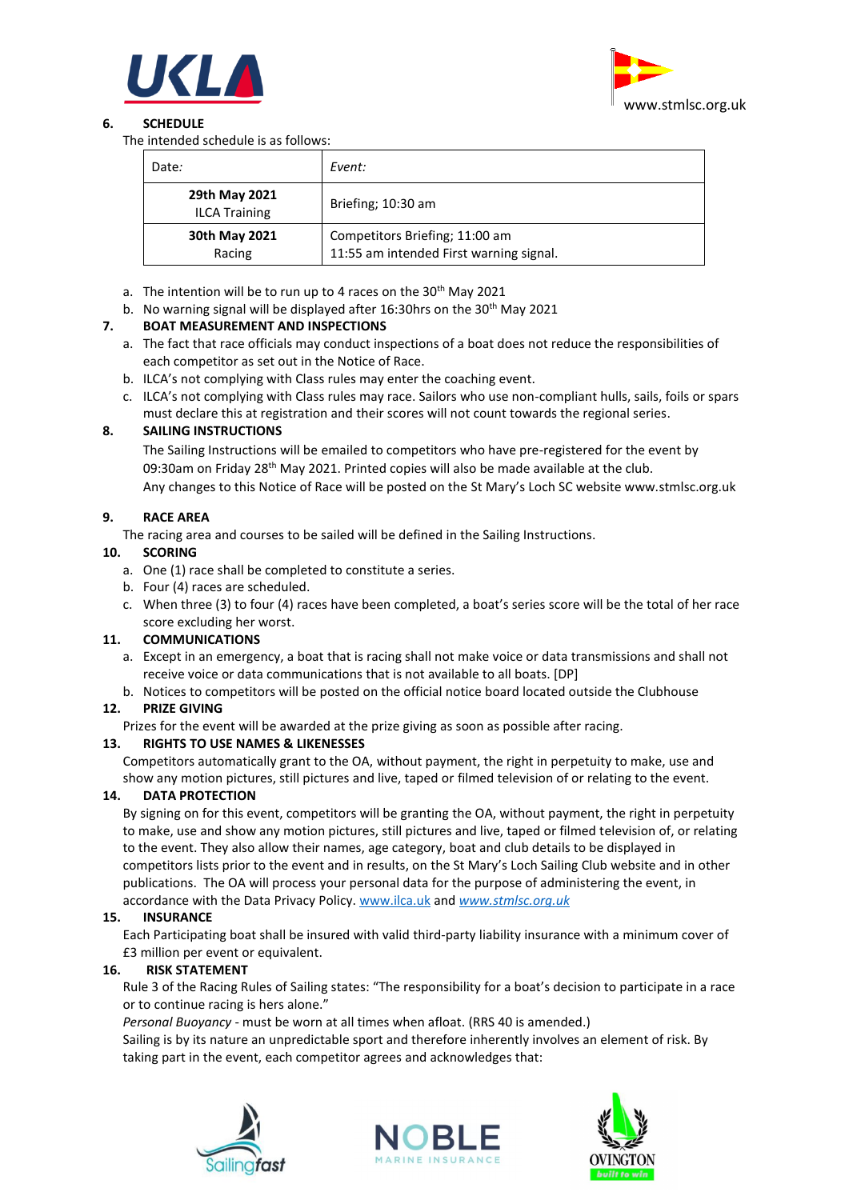



# **6. SCHEDULE**

The intended schedule is as follows:

| Date:                                 | Event:                                                                    |
|---------------------------------------|---------------------------------------------------------------------------|
| 29th May 2021<br><b>ILCA Training</b> | Briefing; 10:30 am                                                        |
| 30th May 2021<br>Racing               | Competitors Briefing; 11:00 am<br>11:55 am intended First warning signal. |

- a. The intention will be to run up to 4 races on the  $30<sup>th</sup>$  May 2021
- b. No warning signal will be displayed after 16:30hrs on the 30<sup>th</sup> May 2021

# **7. BOAT MEASUREMENT AND INSPECTIONS**

- a. The fact that race officials may conduct inspections of a boat does not reduce the responsibilities of each competitor as set out in the Notice of Race.
- b. ILCA's not complying with Class rules may enter the coaching event.
- c. ILCA's not complying with Class rules may race. Sailors who use non-compliant hulls, sails, foils or spars must declare this at registration and their scores will not count towards the regional series.

#### **8. SAILING INSTRUCTIONS**

The Sailing Instructions will be emailed to competitors who have pre-registered for the event by 09:30am on Friday 28<sup>th</sup> May 2021. Printed copies will also be made available at the club. Any changes to this Notice of Race will be posted on the St Mary's Loch SC website www.stmlsc.org.uk

#### **9. RACE AREA**

The racing area and courses to be sailed will be defined in the Sailing Instructions.

#### **10. SCORING**

- a. One (1) race shall be completed to constitute a series.
- b. Four (4) races are scheduled.
- c. When three (3) to four (4) races have been completed, a boat's series score will be the total of her race score excluding her worst.

# **11. COMMUNICATIONS**

- a. Except in an emergency, a boat that is racing shall not make voice or data transmissions and shall not receive voice or data communications that is not available to all boats. [DP]
- b. Notices to competitors will be posted on the official notice board located outside the Clubhouse

# **12. PRIZE GIVING**

Prizes for the event will be awarded at the prize giving as soon as possible after racing.

# **13. RIGHTS TO USE NAMES & LIKENESSES**

Competitors automatically grant to the OA, without payment, the right in perpetuity to make, use and show any motion pictures, still pictures and live, taped or filmed television of or relating to the event.

# **14. DATA PROTECTION**

By signing on for this event, competitors will be granting the OA, without payment, the right in perpetuity to make, use and show any motion pictures, still pictures and live, taped or filmed television of, or relating to the event. They also allow their names, age category, boat and club details to be displayed in competitors lists prior to the event and in results, on the St Mary's Loch Sailing Club website and in other publications. The OA will process your personal data for the purpose of administering the event, in accordance with the Data Privacy Policy. [www.ilca.uk](http://www.ukla.org.uk/) and *[www.stmlsc.org.uk](http://www.stmlsc.org.uk/)*

#### **15. INSURANCE**

Each Participating boat shall be insured with valid third-party liability insurance with a minimum cover of £3 million per event or equivalent.

#### **16. RISK STATEMENT**

Rule 3 of the Racing Rules of Sailing states: "The responsibility for a boat's decision to participate in a race or to continue racing is hers alone."

*Personal Buoyancy* - must be worn at all times when afloat. (RRS 40 is amended.)

Sailing is by its nature an unpredictable sport and therefore inherently involves an element of risk. By taking part in the event, each competitor agrees and acknowledges that: